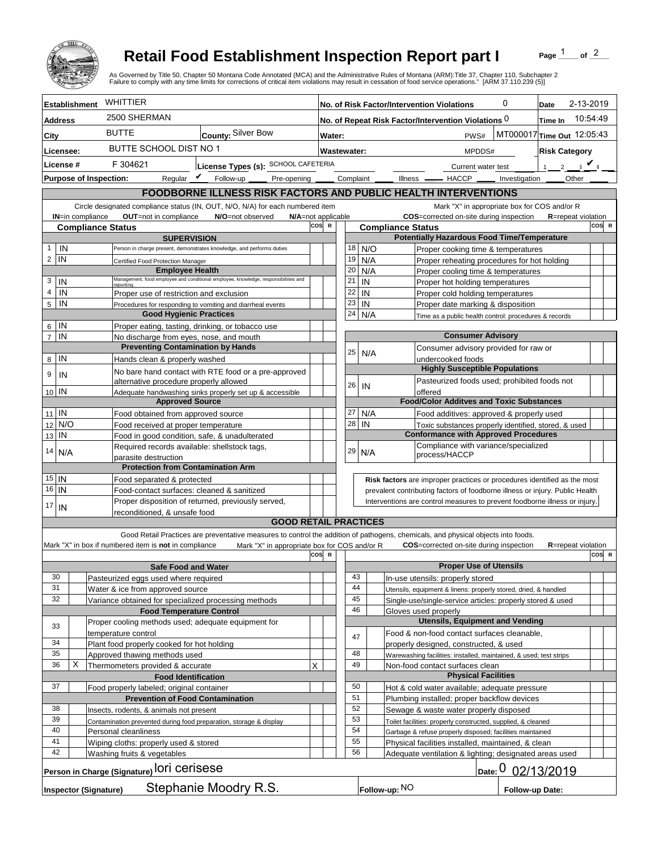

## **Retail Food Establishment Inspection Report part I**

Page  $\frac{1}{1}$  of  $\frac{2}{1}$ 

|                                                                                           |                                                                |                                                                                      | <b>Retail Food Establishment Inspection Report part I</b>                                  |                                                                                                                                                                                   |     |                                                                                                | of $^2$<br>Page<br>As Governed by Title 50, Chapter 50 Montana Code Annotated (MCA) and the Administrative Rules of Montana (ARM):Title 37, Chapter 110, Subchapter 2<br>Failure to comply with any time limits for corrections of critical item violations may result in cessation of food service operations." [ARM 37.110.239 (5)] |           |                                                                            |                                                                                                                               |              |       |                            |       |  |
|-------------------------------------------------------------------------------------------|----------------------------------------------------------------|--------------------------------------------------------------------------------------|--------------------------------------------------------------------------------------------|-----------------------------------------------------------------------------------------------------------------------------------------------------------------------------------|-----|------------------------------------------------------------------------------------------------|---------------------------------------------------------------------------------------------------------------------------------------------------------------------------------------------------------------------------------------------------------------------------------------------------------------------------------------|-----------|----------------------------------------------------------------------------|-------------------------------------------------------------------------------------------------------------------------------|--------------|-------|----------------------------|-------|--|
| <b>Establishment</b>                                                                      |                                                                |                                                                                      | WHITTIER                                                                                   |                                                                                                                                                                                   |     | 0<br>No. of Risk Factor/Intervention Violations<br>Date                                        |                                                                                                                                                                                                                                                                                                                                       |           |                                                                            |                                                                                                                               | 2-13-2019    |       |                            |       |  |
| <b>Address</b>                                                                            |                                                                |                                                                                      | 2500 SHERMAN                                                                               |                                                                                                                                                                                   |     | 10:54:49<br>No. of Repeat Risk Factor/Intervention Violations 0<br>Time In                     |                                                                                                                                                                                                                                                                                                                                       |           |                                                                            |                                                                                                                               |              |       |                            |       |  |
| City                                                                                      |                                                                |                                                                                      | <b>BUTTE</b><br><b>County: Silver Bow</b>                                                  |                                                                                                                                                                                   |     | MT000017 Time Out 12:05:43<br>PWS#<br>Water:                                                   |                                                                                                                                                                                                                                                                                                                                       |           |                                                                            |                                                                                                                               |              |       |                            |       |  |
| Licensee:                                                                                 |                                                                |                                                                                      | BUTTE SCHOOL DIST NO 1                                                                     |                                                                                                                                                                                   |     | Wastewater:<br>MPDDS#<br><b>Risk Category</b>                                                  |                                                                                                                                                                                                                                                                                                                                       |           |                                                                            |                                                                                                                               |              |       |                            |       |  |
| License #                                                                                 |                                                                |                                                                                      | F 304621<br>License Types (s): SCHOOL CAFETERIA                                            |                                                                                                                                                                                   |     | Current water test                                                                             |                                                                                                                                                                                                                                                                                                                                       |           |                                                                            |                                                                                                                               | 2 $\sqrt{4}$ |       |                            |       |  |
| <b>Purpose of Inspection:</b>                                                             |                                                                |                                                                                      | Reqular $\triangledown$ Follow-up                                                          |                                                                                                                                                                                   |     | Pre-opening ______ Complaint ___<br>Illness <u>- HACCP</u> Investigation                       |                                                                                                                                                                                                                                                                                                                                       |           |                                                                            |                                                                                                                               | Other        |       |                            |       |  |
|                                                                                           | FOODBORNE ILLNESS RISK FACTORS AND PUBLIC HEALTH INTERVENTIONS |                                                                                      |                                                                                            |                                                                                                                                                                                   |     |                                                                                                |                                                                                                                                                                                                                                                                                                                                       |           |                                                                            |                                                                                                                               |              |       |                            |       |  |
|                                                                                           |                                                                |                                                                                      |                                                                                            | Circle designated compliance status (IN, OUT, N/O, N/A) for each numbered item                                                                                                    |     |                                                                                                |                                                                                                                                                                                                                                                                                                                                       |           |                                                                            | Mark "X" in appropriate box for COS and/or R                                                                                  |              |       |                            |       |  |
|                                                                                           |                                                                | IN=in compliance                                                                     | <b>OUT</b> =not in compliance<br>N/O=not observed<br>N/A=not applicable                    |                                                                                                                                                                                   |     |                                                                                                |                                                                                                                                                                                                                                                                                                                                       |           |                                                                            | COS=corrected on-site during inspection                                                                                       |              |       | <b>R</b> =repeat violation |       |  |
|                                                                                           |                                                                |                                                                                      | cos<br><b>Compliance Status</b><br><b>SUPERVISION</b>                                      |                                                                                                                                                                                   |     | $\mathbb{R}$<br><b>Compliance Status</b><br><b>Potentially Hazardous Food Time/Temperature</b> |                                                                                                                                                                                                                                                                                                                                       |           |                                                                            |                                                                                                                               |              | COS R |                            |       |  |
| 1                                                                                         | IN                                                             |                                                                                      |                                                                                            | Person in charge present, demonstrates knowledge, and performs duties                                                                                                             |     |                                                                                                | 18                                                                                                                                                                                                                                                                                                                                    | N/O       |                                                                            | Proper cooking time & temperatures                                                                                            |              |       |                            |       |  |
| 2                                                                                         | IN                                                             |                                                                                      | Certified Food Protection Manager                                                          |                                                                                                                                                                                   |     |                                                                                                | 19                                                                                                                                                                                                                                                                                                                                    | N/A       |                                                                            | Proper reheating procedures for hot holding                                                                                   |              |       |                            |       |  |
|                                                                                           |                                                                |                                                                                      |                                                                                            | <b>Employee Health</b><br>Management, food employee and conditional employee, knowledge, responsibiliites and                                                                     |     |                                                                                                | 20                                                                                                                                                                                                                                                                                                                                    | N/A       |                                                                            | Proper cooling time & temperatures                                                                                            |              |       |                            |       |  |
| 3<br>4                                                                                    | IN                                                             |                                                                                      | reportina                                                                                  |                                                                                                                                                                                   |     |                                                                                                | 21<br>22                                                                                                                                                                                                                                                                                                                              | IN        |                                                                            | Proper hot holding temperatures                                                                                               |              |       |                            |       |  |
| 5                                                                                         | IN<br>IN                                                       |                                                                                      | Proper use of restriction and exclusion                                                    | Procedures for responding to vomiting and diarrheal events                                                                                                                        |     |                                                                                                | 23                                                                                                                                                                                                                                                                                                                                    | IN<br>IN  |                                                                            | Proper cold holding temperatures<br>Proper date marking & disposition                                                         |              |       |                            |       |  |
|                                                                                           |                                                                |                                                                                      |                                                                                            | <b>Good Hygienic Practices</b>                                                                                                                                                    |     |                                                                                                | 24                                                                                                                                                                                                                                                                                                                                    | N/A       |                                                                            | Time as a public health control: procedures & records                                                                         |              |       |                            |       |  |
| 6                                                                                         | IN                                                             |                                                                                      |                                                                                            | Proper eating, tasting, drinking, or tobacco use                                                                                                                                  |     |                                                                                                |                                                                                                                                                                                                                                                                                                                                       |           |                                                                            |                                                                                                                               |              |       |                            |       |  |
| $\overline{7}$                                                                            | IN                                                             |                                                                                      |                                                                                            | No discharge from eyes, nose, and mouth                                                                                                                                           |     |                                                                                                |                                                                                                                                                                                                                                                                                                                                       |           |                                                                            | <b>Consumer Advisory</b>                                                                                                      |              |       |                            |       |  |
| 8                                                                                         | IN                                                             |                                                                                      | <b>Preventing Contamination by Hands</b><br>Hands clean & properly washed                  |                                                                                                                                                                                   |     |                                                                                                | 25                                                                                                                                                                                                                                                                                                                                    | N/A       |                                                                            | Consumer advisory provided for raw or<br>undercooked foods                                                                    |              |       |                            |       |  |
|                                                                                           |                                                                |                                                                                      |                                                                                            | No bare hand contact with RTE food or a pre-approved                                                                                                                              |     |                                                                                                |                                                                                                                                                                                                                                                                                                                                       |           |                                                                            | <b>Highly Susceptible Populations</b>                                                                                         |              |       |                            |       |  |
| 9                                                                                         | IN                                                             |                                                                                      | alternative procedure properly allowed                                                     |                                                                                                                                                                                   |     |                                                                                                | 26                                                                                                                                                                                                                                                                                                                                    |           |                                                                            | Pasteurized foods used; prohibited foods not                                                                                  |              |       |                            |       |  |
| 10 IN                                                                                     |                                                                |                                                                                      | Adequate handwashing sinks properly set up & accessible                                    |                                                                                                                                                                                   |     |                                                                                                |                                                                                                                                                                                                                                                                                                                                       | IN        |                                                                            | offered                                                                                                                       |              |       |                            |       |  |
|                                                                                           |                                                                |                                                                                      |                                                                                            | <b>Approved Source</b>                                                                                                                                                            |     |                                                                                                | 27                                                                                                                                                                                                                                                                                                                                    |           |                                                                            | <b>Food/Color Additves and Toxic Substances</b>                                                                               |              |       |                            |       |  |
| 11<br>12                                                                                  | IN<br>N/O                                                      |                                                                                      | Food obtained from approved source                                                         |                                                                                                                                                                                   |     |                                                                                                | 28                                                                                                                                                                                                                                                                                                                                    | N/A<br>IN |                                                                            | Food additives: approved & properly used<br>Toxic substances properly identified, stored, & used                              |              |       |                            |       |  |
| 13                                                                                        | IN                                                             | Food received at proper temperature<br>Food in good condition, safe, & unadulterated |                                                                                            |                                                                                                                                                                                   |     |                                                                                                |                                                                                                                                                                                                                                                                                                                                       |           | <b>Conformance with Approved Procedures</b>                                |                                                                                                                               |              |       |                            |       |  |
| 14                                                                                        | N/A                                                            |                                                                                      |                                                                                            | Required records available: shellstock tags,                                                                                                                                      |     |                                                                                                | 29                                                                                                                                                                                                                                                                                                                                    | N/A       |                                                                            | Compliance with variance/specialized                                                                                          |              |       |                            |       |  |
|                                                                                           |                                                                |                                                                                      | parasite destruction                                                                       |                                                                                                                                                                                   |     |                                                                                                |                                                                                                                                                                                                                                                                                                                                       |           |                                                                            | process/HACCP                                                                                                                 |              |       |                            |       |  |
| $15$ IN                                                                                   |                                                                |                                                                                      | Food separated & protected                                                                 | <b>Protection from Contamination Arm</b>                                                                                                                                          |     |                                                                                                |                                                                                                                                                                                                                                                                                                                                       |           |                                                                            | Risk factors are improper practices or procedures identified as the most                                                      |              |       |                            |       |  |
| 16                                                                                        | IN                                                             |                                                                                      |                                                                                            | Food-contact surfaces: cleaned & sanitized                                                                                                                                        |     |                                                                                                |                                                                                                                                                                                                                                                                                                                                       |           |                                                                            | prevalent contributing factors of foodborne illness or injury. Public Health                                                  |              |       |                            |       |  |
| 17                                                                                        |                                                                | Proper disposition of returned, previously served,                                   |                                                                                            |                                                                                                                                                                                   |     |                                                                                                |                                                                                                                                                                                                                                                                                                                                       |           | Interventions are control measures to prevent foodborne illness or injury. |                                                                                                                               |              |       |                            |       |  |
|                                                                                           |                                                                | IN<br>reconditioned, & unsafe food<br><b>GOOD RETAIL PRACTICES</b>                   |                                                                                            |                                                                                                                                                                                   |     |                                                                                                |                                                                                                                                                                                                                                                                                                                                       |           |                                                                            |                                                                                                                               |              |       |                            |       |  |
|                                                                                           |                                                                |                                                                                      |                                                                                            |                                                                                                                                                                                   |     |                                                                                                |                                                                                                                                                                                                                                                                                                                                       |           |                                                                            |                                                                                                                               |              |       |                            |       |  |
|                                                                                           |                                                                |                                                                                      | Mark "X" in box if numbered item is not in compliance                                      | Good Retail Practices are preventative measures to control the addition of pathogens, chemicals, and physical objects into foods.<br>Mark "X" in appropriate box for COS and/or R |     |                                                                                                |                                                                                                                                                                                                                                                                                                                                       |           |                                                                            | COS=corrected on-site during inspection                                                                                       |              |       | <b>R</b> =repeat violation |       |  |
|                                                                                           |                                                                |                                                                                      |                                                                                            |                                                                                                                                                                                   | cos | $\mathbf R$                                                                                    |                                                                                                                                                                                                                                                                                                                                       |           |                                                                            |                                                                                                                               |              |       |                            | COS R |  |
|                                                                                           |                                                                |                                                                                      |                                                                                            | <b>Safe Food and Water</b>                                                                                                                                                        |     |                                                                                                |                                                                                                                                                                                                                                                                                                                                       |           |                                                                            | <b>Proper Use of Utensils</b>                                                                                                 |              |       |                            |       |  |
| 30                                                                                        |                                                                |                                                                                      | Pasteurized eggs used where required                                                       |                                                                                                                                                                                   |     |                                                                                                | 43<br>44                                                                                                                                                                                                                                                                                                                              |           |                                                                            | In-use utensils: properly stored                                                                                              |              |       |                            |       |  |
|                                                                                           | 31<br>32                                                       |                                                                                      | Water & ice from approved source<br>Variance obtained for specialized processing methods   |                                                                                                                                                                                   |     |                                                                                                | 45                                                                                                                                                                                                                                                                                                                                    |           |                                                                            | Utensils, equipment & linens: properly stored, dried, & handled<br>Single-use/single-service articles: properly stored & used |              |       |                            |       |  |
|                                                                                           |                                                                |                                                                                      |                                                                                            | <b>Food Temperature Control</b>                                                                                                                                                   |     |                                                                                                | 46                                                                                                                                                                                                                                                                                                                                    |           |                                                                            | Gloves used properly                                                                                                          |              |       |                            |       |  |
| 33                                                                                        |                                                                |                                                                                      | Proper cooling methods used; adequate equipment for                                        |                                                                                                                                                                                   |     |                                                                                                |                                                                                                                                                                                                                                                                                                                                       |           |                                                                            | <b>Utensils, Equipment and Vending</b>                                                                                        |              |       |                            |       |  |
|                                                                                           |                                                                |                                                                                      | temperature control                                                                        |                                                                                                                                                                                   |     |                                                                                                | 47                                                                                                                                                                                                                                                                                                                                    |           |                                                                            | Food & non-food contact surfaces cleanable,                                                                                   |              |       |                            |       |  |
| 34<br>35                                                                                  |                                                                |                                                                                      | Plant food properly cooked for hot holding<br>Approved thawing methods used                |                                                                                                                                                                                   |     |                                                                                                | 48                                                                                                                                                                                                                                                                                                                                    |           |                                                                            | properly designed, constructed, & used<br>Warewashing facilities: installed, maintained, & used; test strips                  |              |       |                            |       |  |
| 36                                                                                        |                                                                | X.                                                                                   | Thermometers provided & accurate                                                           |                                                                                                                                                                                   | X   |                                                                                                | 49                                                                                                                                                                                                                                                                                                                                    |           |                                                                            | Non-food contact surfaces clean                                                                                               |              |       |                            |       |  |
|                                                                                           |                                                                |                                                                                      |                                                                                            | <b>Food Identification</b>                                                                                                                                                        |     |                                                                                                |                                                                                                                                                                                                                                                                                                                                       |           |                                                                            | <b>Physical Facilities</b>                                                                                                    |              |       |                            |       |  |
| 37                                                                                        |                                                                | Food properly labeled; original container                                            |                                                                                            |                                                                                                                                                                                   |     |                                                                                                | 50                                                                                                                                                                                                                                                                                                                                    |           |                                                                            | Hot & cold water available; adequate pressure                                                                                 |              |       |                            |       |  |
| 38                                                                                        |                                                                |                                                                                      |                                                                                            | <b>Prevention of Food Contamination</b>                                                                                                                                           |     |                                                                                                | 51<br>52                                                                                                                                                                                                                                                                                                                              |           |                                                                            | Plumbing installed; proper backflow devices                                                                                   |              |       |                            |       |  |
| 39                                                                                        |                                                                |                                                                                      | Insects, rodents, & animals not present                                                    |                                                                                                                                                                                   |     |                                                                                                | 53                                                                                                                                                                                                                                                                                                                                    |           |                                                                            | Sewage & waste water properly disposed<br>Toilet facilities: properly constructed, supplied, & cleaned                        |              |       |                            |       |  |
|                                                                                           | 40                                                             |                                                                                      | Contamination prevented during food preparation, storage & display<br>Personal cleanliness |                                                                                                                                                                                   |     |                                                                                                | 54                                                                                                                                                                                                                                                                                                                                    |           |                                                                            | Garbage & refuse properly disposed; facilities maintained                                                                     |              |       |                            |       |  |
| 41                                                                                        |                                                                |                                                                                      | Wiping cloths: properly used & stored                                                      |                                                                                                                                                                                   |     |                                                                                                | 55                                                                                                                                                                                                                                                                                                                                    |           |                                                                            | Physical facilities installed, maintained, & clean                                                                            |              |       |                            |       |  |
| 42                                                                                        |                                                                |                                                                                      | Washing fruits & vegetables                                                                |                                                                                                                                                                                   |     |                                                                                                | 56                                                                                                                                                                                                                                                                                                                                    |           |                                                                            | Adequate ventilation & lighting; designated areas used                                                                        |              |       |                            |       |  |
| Person in Charge (Signature) Ori Cerisese<br>Date: 0 02/13/2019                           |                                                                |                                                                                      |                                                                                            |                                                                                                                                                                                   |     |                                                                                                |                                                                                                                                                                                                                                                                                                                                       |           |                                                                            |                                                                                                                               |              |       |                            |       |  |
| Stephanie Moodry R.S.<br>Follow-up: NO<br><b>Inspector (Signature)</b><br>Follow-up Date: |                                                                |                                                                                      |                                                                                            |                                                                                                                                                                                   |     |                                                                                                |                                                                                                                                                                                                                                                                                                                                       |           |                                                                            |                                                                                                                               |              |       |                            |       |  |